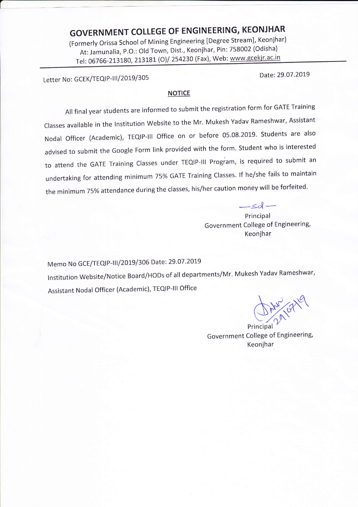# GOVERNMENT COLLEGE OF ENGINEERING, KEONJHAR

(Formerly orissa school of Mining Engineering [Degree Stream], Keonjhar) At: Jamunalia, P.o.: old Town, Dist., Keonjhar, Pin: 758002 (Odisha) Tel: 06766-213180, 213181 (O)/ 254230 (Fax), Web: www.gcekjr.ac.in

Letter No: GCEK/TEQIP-III/2019/305 Date: 29.07.2019

L

#### **NOTICE**

All final year students are informed to submit the registration form for GATE Training Classes available in the Institution Website to the Mr. Mukesh Yadav Rameshwar, Assistant Nodal Officer (Academic), TEQIP-III Office on or before 05.08.2019. Students are also advised to submit the Google Form link provided with the form. Student who is interested to attend the GATE Training Classes under TEQIP-III Program, is required to submit an undertaking for attending minimum 75% GATE Training Classes. If he/she fails to maintain the minimum 75% attendance during the classes, his/her caution money will be forfeited.

> $-sd$  – Principal Government College of Engineering, Keonjhar

Memo No GCE/TEQIP-III/2019/306 Date: 29.07.2019 lnstitution website/Notice Board/HoDs of all departments/Mr. Mukesh Yadav Rameshwar' Assistant Nodal Officer (Academic), TEQIP-lll Office

Government College of Engineering Keonjhar